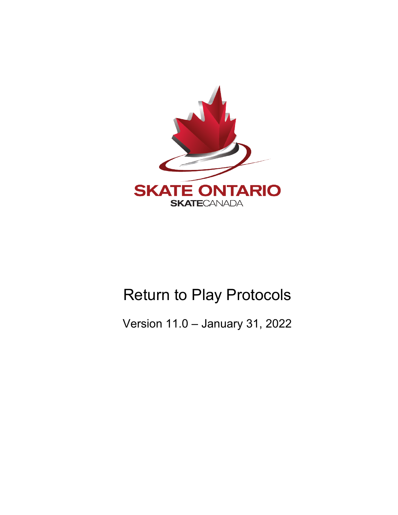

# Return to Play Protocols

Version 11.0 – January 31, 2022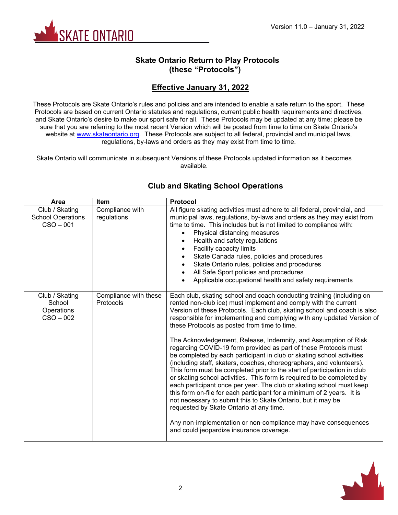

## **Skate Ontario Return to Play Protocols (these "Protocols")**

## **Effective January 31, 2022**

These Protocols are Skate Ontario's rules and policies and are intended to enable a safe return to the sport. These Protocols are based on current Ontario statutes and regulations, current public health requirements and directives, and Skate Ontario's desire to make our sport safe for all. These Protocols may be updated at any time; please be sure that you are referring to the most recent Version which will be posted from time to time on Skate Ontario's website at [www.skateontario.org.](http://www.skateontario.org/) These Protocols are subject to all federal, provincial and municipal laws, regulations, by-laws and orders as they may exist from time to time.

Skate Ontario will communicate in subsequent Versions of these Protocols updated information as it becomes available.

| Area                                                      | <b>Item</b>                        | <b>Protocol</b>                                                                                                                                                                                                                                                                                                                                                                                                                                                                                                                                                                                                                                                                                                                                                                                                                                                                                                                                                                                                                                                                                                                                                       |
|-----------------------------------------------------------|------------------------------------|-----------------------------------------------------------------------------------------------------------------------------------------------------------------------------------------------------------------------------------------------------------------------------------------------------------------------------------------------------------------------------------------------------------------------------------------------------------------------------------------------------------------------------------------------------------------------------------------------------------------------------------------------------------------------------------------------------------------------------------------------------------------------------------------------------------------------------------------------------------------------------------------------------------------------------------------------------------------------------------------------------------------------------------------------------------------------------------------------------------------------------------------------------------------------|
| Club / Skating<br><b>School Operations</b><br>$CSO - 001$ | Compliance with<br>regulations     | All figure skating activities must adhere to all federal, provincial, and<br>municipal laws, regulations, by-laws and orders as they may exist from<br>time to time. This includes but is not limited to compliance with:<br>Physical distancing measures<br>Health and safety regulations<br>Facility capacity limits<br>Skate Canada rules, policies and procedures<br>Skate Ontario rules, policies and procedures<br>$\bullet$<br>All Safe Sport policies and procedures<br>Applicable occupational health and safety requirements                                                                                                                                                                                                                                                                                                                                                                                                                                                                                                                                                                                                                                |
| Club / Skating<br>School<br>Operations<br>$CSO - 002$     | Compliance with these<br>Protocols | Each club, skating school and coach conducting training (including on<br>rented non-club ice) must implement and comply with the current<br>Version of these Protocols. Each club, skating school and coach is also<br>responsible for implementing and complying with any updated Version of<br>these Protocols as posted from time to time.<br>The Acknowledgement, Release, Indemnity, and Assumption of Risk<br>regarding COVID-19 form provided as part of these Protocols must<br>be completed by each participant in club or skating school activities<br>(including staff, skaters, coaches, choreographers, and volunteers).<br>This form must be completed prior to the start of participation in club<br>or skating school activities. This form is required to be completed by<br>each participant once per year. The club or skating school must keep<br>this form on-file for each participant for a minimum of 2 years. It is<br>not necessary to submit this to Skate Ontario, but it may be<br>requested by Skate Ontario at any time.<br>Any non-implementation or non-compliance may have consequences<br>and could jeopardize insurance coverage. |

## **Club and Skating School Operations**

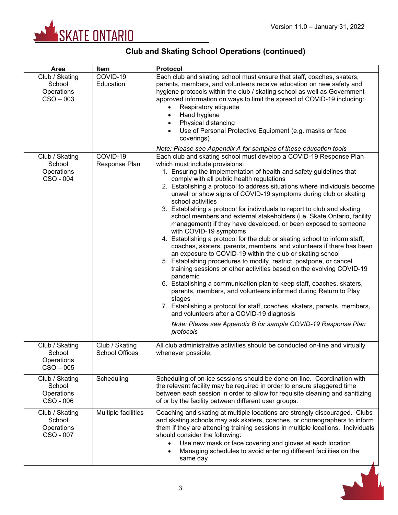

| Area                                                  | Item                                    | <b>Protocol</b>                                                                                                                                                                                                                                                                                                                                                                                                                                                                                                                                                                                                                                                                                                                                                                                                                                                                                                                                                                                                                                                                                                                                                                                                                                                                                                                                                                              |
|-------------------------------------------------------|-----------------------------------------|----------------------------------------------------------------------------------------------------------------------------------------------------------------------------------------------------------------------------------------------------------------------------------------------------------------------------------------------------------------------------------------------------------------------------------------------------------------------------------------------------------------------------------------------------------------------------------------------------------------------------------------------------------------------------------------------------------------------------------------------------------------------------------------------------------------------------------------------------------------------------------------------------------------------------------------------------------------------------------------------------------------------------------------------------------------------------------------------------------------------------------------------------------------------------------------------------------------------------------------------------------------------------------------------------------------------------------------------------------------------------------------------|
| Club / Skating<br>School<br>Operations<br>$CSO - 003$ | COVID-19<br>Education                   | Each club and skating school must ensure that staff, coaches, skaters,<br>parents, members, and volunteers receive education on new safety and<br>hygiene protocols within the club / skating school as well as Government-<br>approved information on ways to limit the spread of COVID-19 including:<br>Respiratory etiquette<br>Hand hygiene<br>Physical distancing<br>Use of Personal Protective Equipment (e.g. masks or face<br>coverings)                                                                                                                                                                                                                                                                                                                                                                                                                                                                                                                                                                                                                                                                                                                                                                                                                                                                                                                                             |
|                                                       |                                         | Note: Please see Appendix A for samples of these education tools                                                                                                                                                                                                                                                                                                                                                                                                                                                                                                                                                                                                                                                                                                                                                                                                                                                                                                                                                                                                                                                                                                                                                                                                                                                                                                                             |
| Club / Skating<br>School<br>Operations<br>CSO - 004   | COVID-19<br>Response Plan               | Each club and skating school must develop a COVID-19 Response Plan<br>which must include provisions:<br>1. Ensuring the implementation of health and safety guidelines that<br>comply with all public health regulations<br>2. Establishing a protocol to address situations where individuals become<br>unwell or show signs of COVID-19 symptoms during club or skating<br>school activities<br>3. Establishing a protocol for individuals to report to club and skating<br>school members and external stakeholders (i.e. Skate Ontario, facility<br>management) if they have developed, or been exposed to someone<br>with COVID-19 symptoms<br>4. Establishing a protocol for the club or skating school to inform staff,<br>coaches, skaters, parents, members, and volunteers if there has been<br>an exposure to COVID-19 within the club or skating school<br>5. Establishing procedures to modify, restrict, postpone, or cancel<br>training sessions or other activities based on the evolving COVID-19<br>pandemic<br>6. Establishing a communication plan to keep staff, coaches, skaters,<br>parents, members, and volunteers informed during Return to Play<br>stages<br>7. Establishing a protocol for staff, coaches, skaters, parents, members,<br>and volunteers after a COVID-19 diagnosis<br>Note: Please see Appendix B for sample COVID-19 Response Plan<br>protocols |
| Club / Skating<br>School<br>Operations<br>$CSO - 005$ | Club / Skating<br><b>School Offices</b> | All club administrative activities should be conducted on-line and virtually<br>whenever possible.                                                                                                                                                                                                                                                                                                                                                                                                                                                                                                                                                                                                                                                                                                                                                                                                                                                                                                                                                                                                                                                                                                                                                                                                                                                                                           |
| Club / Skating<br>School<br>Operations<br>CSO - 006   | Scheduling                              | Scheduling of on-ice sessions should be done on-line. Coordination with<br>the relevant facility may be required in order to ensure staggered time<br>between each session in order to allow for requisite cleaning and sanitizing<br>of or by the facility between different user groups.                                                                                                                                                                                                                                                                                                                                                                                                                                                                                                                                                                                                                                                                                                                                                                                                                                                                                                                                                                                                                                                                                                   |
| Club / Skating<br>School<br>Operations<br>CSO - 007   | Multiple facilities                     | Coaching and skating at multiple locations are strongly discouraged. Clubs<br>and skating schools may ask skaters, coaches, or choreographers to inform<br>them if they are attending training sessions in multiple locations. Individuals<br>should consider the following:<br>Use new mask or face covering and gloves at each location<br>Managing schedules to avoid entering different facilities on the<br>same day                                                                                                                                                                                                                                                                                                                                                                                                                                                                                                                                                                                                                                                                                                                                                                                                                                                                                                                                                                    |

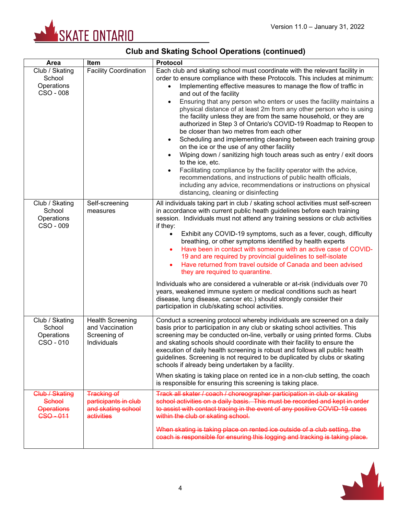

| Area                                                         | Item                                                                           | Protocol                                                                                                                                                                                                                                                                                                                                                                                                                                                                                                                                                                                                                                                                                                                                                                                                                                                                                                                                                                                                                                                                   |  |
|--------------------------------------------------------------|--------------------------------------------------------------------------------|----------------------------------------------------------------------------------------------------------------------------------------------------------------------------------------------------------------------------------------------------------------------------------------------------------------------------------------------------------------------------------------------------------------------------------------------------------------------------------------------------------------------------------------------------------------------------------------------------------------------------------------------------------------------------------------------------------------------------------------------------------------------------------------------------------------------------------------------------------------------------------------------------------------------------------------------------------------------------------------------------------------------------------------------------------------------------|--|
| Club / Skating<br>School<br>Operations<br>CSO - 008          | <b>Facility Coordination</b>                                                   | Each club and skating school must coordinate with the relevant facility in<br>order to ensure compliance with these Protocols. This includes at minimum:<br>Implementing effective measures to manage the flow of traffic in<br>and out of the facility<br>Ensuring that any person who enters or uses the facility maintains a<br>physical distance of at least 2m from any other person who is using<br>the facility unless they are from the same household, or they are<br>authorized in Step 3 of Ontario's COVID-19 Roadmap to Reopen to<br>be closer than two metres from each other<br>Scheduling and implementing cleaning between each training group<br>$\bullet$<br>on the ice or the use of any other facility<br>Wiping down / sanitizing high touch areas such as entry / exit doors<br>to the ice, etc.<br>Facilitating compliance by the facility operator with the advice,<br>recommendations, and instructions of public health officials,<br>including any advice, recommendations or instructions on physical<br>distancing, cleaning or disinfecting |  |
| Club / Skating<br>School<br>Operations<br>CSO - 009          | Self-screening<br>measures                                                     | All individuals taking part in club / skating school activities must self-screen<br>in accordance with current public heath guidelines before each training<br>session. Individuals must not attend any training sessions or club activities<br>if they:<br>Exhibit any COVID-19 symptoms, such as a fever, cough, difficulty<br>$\bullet$<br>breathing, or other symptoms identified by health experts<br>Have been in contact with someone with an active case of COVID-<br>$\bullet$<br>19 and are required by provincial guidelines to self-isolate<br>Have returned from travel outside of Canada and been advised<br>$\bullet$<br>they are required to quarantine.<br>Individuals who are considered a vulnerable or at-risk (individuals over 70<br>years, weakened immune system or medical conditions such as heart<br>disease, lung disease, cancer etc.) should strongly consider their<br>participation in club/skating school activities.                                                                                                                     |  |
| Club / Skating<br>School<br>Operations<br>CSO - 010          | <b>Health Screening</b><br>and Vaccination<br>Screening of<br>Individuals      | Conduct a screening protocol whereby individuals are screened on a daily<br>basis prior to participation in any club or skating school activities. This<br>screening may be conducted on-line, verbally or using printed forms. Clubs<br>and skating schools should coordinate with their facility to ensure the<br>execution of daily health screening is robust and follows all public health<br>guidelines. Screening is not required to be duplicated by clubs or skating<br>schools if already being undertaken by a facility.<br>When skating is taking place on rented ice in a non-club setting, the coach<br>is responsible for ensuring this screening is taking place.                                                                                                                                                                                                                                                                                                                                                                                          |  |
| Club / Skating<br>School<br><b>Operations</b><br>$CSO - 011$ | <b>Tracking of</b><br>participants in club<br>and skating school<br>activities | Track all skater / coach / choreographer participation in club or skating<br>school activities on a daily basis. This must be recorded and kept in order<br>to assist with contact tracing in the event of any positive COVID-19 cases<br>within the club or skating school.<br>When skating is taking place on rented ice outside of a club setting, the<br>coach is responsible for ensuring this logging and tracking is taking place.                                                                                                                                                                                                                                                                                                                                                                                                                                                                                                                                                                                                                                  |  |

# **Club and Skating School Operations (continued)**

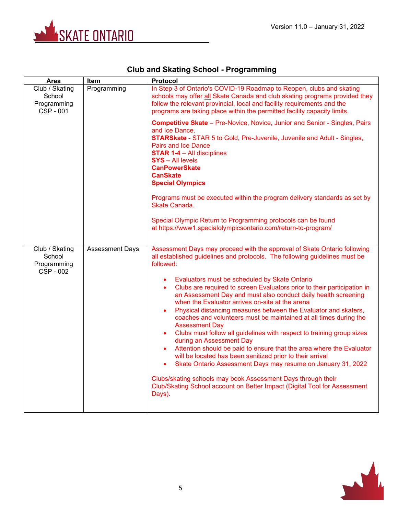

| <b>Club and Skating School - Programming</b> |  |  |  |  |
|----------------------------------------------|--|--|--|--|
|----------------------------------------------|--|--|--|--|

| Area                                                        | <b>Item</b>            | <b>Protocol</b>                                                                                                                                                                                                                                                                                                                                                                                                                                                                                                                                                                                                                                                                                                                                                                                                                                                                                                                                                                                                                                                                                                         |
|-------------------------------------------------------------|------------------------|-------------------------------------------------------------------------------------------------------------------------------------------------------------------------------------------------------------------------------------------------------------------------------------------------------------------------------------------------------------------------------------------------------------------------------------------------------------------------------------------------------------------------------------------------------------------------------------------------------------------------------------------------------------------------------------------------------------------------------------------------------------------------------------------------------------------------------------------------------------------------------------------------------------------------------------------------------------------------------------------------------------------------------------------------------------------------------------------------------------------------|
| Club / Skating<br>School<br>Programming<br><b>CSP - 001</b> | Programming            | In Step 3 of Ontario's COVID-19 Roadmap to Reopen, clubs and skating<br>schools may offer all Skate Canada and club skating programs provided they<br>follow the relevant provincial, local and facility requirements and the<br>programs are taking place within the permitted facility capacity limits.                                                                                                                                                                                                                                                                                                                                                                                                                                                                                                                                                                                                                                                                                                                                                                                                               |
|                                                             |                        | <b>Competitive Skate</b> - Pre-Novice, Novice, Junior and Senior - Singles, Pairs<br>and Ice Dance.<br><b>STARSkate</b> - STAR 5 to Gold, Pre-Juvenile, Juvenile and Adult - Singles,<br><b>Pairs and Ice Dance</b><br><b>STAR 1-4 - All disciplines</b><br><b>SYS</b> - All levels<br><b>CanPowerSkate</b><br><b>CanSkate</b><br><b>Special Olympics</b>                                                                                                                                                                                                                                                                                                                                                                                                                                                                                                                                                                                                                                                                                                                                                               |
|                                                             |                        | Programs must be executed within the program delivery standards as set by<br>Skate Canada.                                                                                                                                                                                                                                                                                                                                                                                                                                                                                                                                                                                                                                                                                                                                                                                                                                                                                                                                                                                                                              |
|                                                             |                        | Special Olympic Return to Programming protocols can be found<br>at https://www1.specialolympicsontario.com/return-to-program/                                                                                                                                                                                                                                                                                                                                                                                                                                                                                                                                                                                                                                                                                                                                                                                                                                                                                                                                                                                           |
| Club / Skating<br>School<br>Programming<br><b>CSP - 002</b> | <b>Assessment Days</b> | Assessment Days may proceed with the approval of Skate Ontario following<br>all established guidelines and protocols. The following guidelines must be<br>followed:<br>Evaluators must be scheduled by Skate Ontario<br>$\bullet$<br>Clubs are required to screen Evaluators prior to their participation in<br>an Assessment Day and must also conduct daily health screening<br>when the Evaluator arrives on-site at the arena<br>Physical distancing measures between the Evaluator and skaters,<br>$\bullet$<br>coaches and volunteers must be maintained at all times during the<br><b>Assessment Day</b><br>Clubs must follow all guidelines with respect to training group sizes<br>$\bullet$<br>during an Assessment Day<br>Attention should be paid to ensure that the area where the Evaluator<br>$\bullet$<br>will be located has been sanitized prior to their arrival<br>Skate Ontario Assessment Days may resume on January 31, 2022<br>$\bullet$<br>Clubs/skating schools may book Assessment Days through their<br>Club/Skating School account on Better Impact (Digital Tool for Assessment<br>Days). |

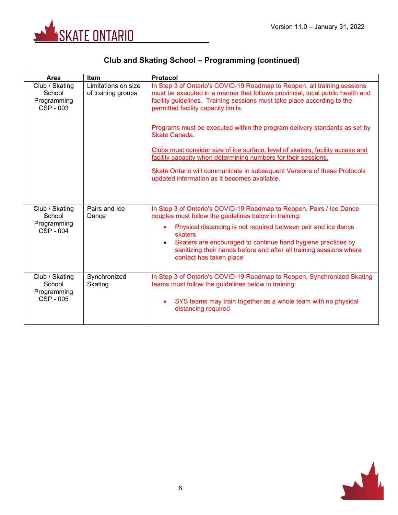

# **Club and Skating School – Programming (continued)**

| Area                                                 | Item                                      | <b>Protocol</b>                                                                                                                                                                                                                                                             |  |  |
|------------------------------------------------------|-------------------------------------------|-----------------------------------------------------------------------------------------------------------------------------------------------------------------------------------------------------------------------------------------------------------------------------|--|--|
| Club / Skating<br>School<br>Programming<br>CSP - 003 | Limitations on size<br>of training groups | In Step 3 of Ontario's COVID-19 Roadmap to Reopen, all training sessions<br>must be executed in a manner that follows provincial, local public health and<br>facility guidelines. Training sessions must take place according to the<br>permitted facility capacity limits. |  |  |
|                                                      |                                           | Programs must be executed within the program delivery standards as set by<br>Skate Canada.                                                                                                                                                                                  |  |  |
|                                                      |                                           | Clubs must consider size of ice surface, level of skaters, facility access and<br>facility capacity when determining numbers for their sessions.                                                                                                                            |  |  |
|                                                      |                                           | Skate Ontario will communicate in subsequent Versions of these Protocols<br>updated information as it becomes available.                                                                                                                                                    |  |  |
| Club / Skating<br>School                             | Pairs and Ice<br>Dance                    | In Step 3 of Ontario's COVID-19 Roadmap to Reopen, Pairs / Ice Dance<br>couples must follow the guidelines below in training:                                                                                                                                               |  |  |
| Programming<br>CSP - 004                             |                                           | Physical distancing is not required between pair and ice dance<br>skaters                                                                                                                                                                                                   |  |  |
|                                                      |                                           | Skaters are encouraged to continue hand hygiene practices by<br>$\bullet$<br>sanitizing their hands before and after all training sessions where<br>contact has taken place                                                                                                 |  |  |
| Club / Skating<br>School<br>Programming              | Synchronized<br>Skating                   | In Step 3 of Ontario's COVID-19 Roadmap to Reopen, Synchronized Skating<br>teams must follow the guidelines below in training:                                                                                                                                              |  |  |
| CSP - 005                                            |                                           | SYS teams may train together as a whole team with no physical<br>distancing required                                                                                                                                                                                        |  |  |

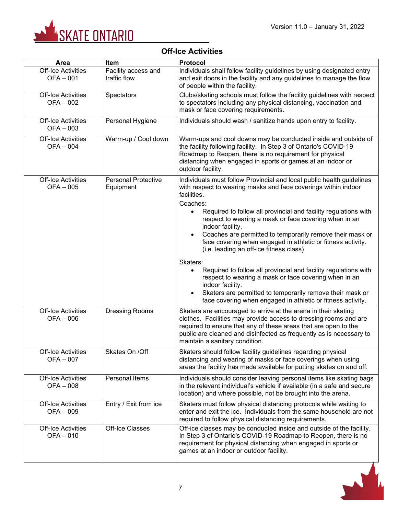

# **Off-Ice Activities**

| <b>Area</b>                                 | Item                                    | <b>Protocol</b>                                                                                                                                                                                                                                                                                                                                                                                                                                                                                                                                                                                                                                                                                                                                                                   |  |
|---------------------------------------------|-----------------------------------------|-----------------------------------------------------------------------------------------------------------------------------------------------------------------------------------------------------------------------------------------------------------------------------------------------------------------------------------------------------------------------------------------------------------------------------------------------------------------------------------------------------------------------------------------------------------------------------------------------------------------------------------------------------------------------------------------------------------------------------------------------------------------------------------|--|
| <b>Off-Ice Activities</b><br>$OFA - 001$    | Facility access and<br>traffic flow     | Individuals shall follow facility guidelines by using designated entry<br>and exit doors in the facility and any guidelines to manage the flow<br>of people within the facility.                                                                                                                                                                                                                                                                                                                                                                                                                                                                                                                                                                                                  |  |
| <b>Off-Ice Activities</b><br>$OFA - 002$    | Spectators                              | Clubs/skating schools must follow the facility guidelines with respect<br>to spectators including any physical distancing, vaccination and<br>mask or face covering requirements.                                                                                                                                                                                                                                                                                                                                                                                                                                                                                                                                                                                                 |  |
| <b>Off-Ice Activities</b><br>$OFA - 003$    | Personal Hygiene                        | Individuals should wash / sanitize hands upon entry to facility.                                                                                                                                                                                                                                                                                                                                                                                                                                                                                                                                                                                                                                                                                                                  |  |
| <b>Off-Ice Activities</b><br><b>OFA-004</b> | Warm-up / Cool down                     | Warm-ups and cool downs may be conducted inside and outside of<br>the facility following facility. In Step 3 of Ontario's COVID-19<br>Roadmap to Reopen, there is no requirement for physical<br>distancing when engaged in sports or games at an indoor or<br>outdoor facility.                                                                                                                                                                                                                                                                                                                                                                                                                                                                                                  |  |
| <b>Off-Ice Activities</b><br><b>OFA-005</b> | <b>Personal Protective</b><br>Equipment | Individuals must follow Provincial and local public health guidelines<br>with respect to wearing masks and face coverings within indoor<br>facilities.<br>Coaches:<br>Required to follow all provincial and facility regulations with<br>respect to wearing a mask or face covering when in an<br>indoor facility.<br>Coaches are permitted to temporarily remove their mask or<br>face covering when engaged in athletic or fitness activity.<br>(i.e. leading an off-ice fitness class)<br>Skaters:<br>Required to follow all provincial and facility regulations with<br>respect to wearing a mask or face covering when in an<br>indoor facility.<br>Skaters are permitted to temporarily remove their mask or<br>face covering when engaged in athletic or fitness activity. |  |
| <b>Off-Ice Activities</b><br>$OFA - 006$    | <b>Dressing Rooms</b>                   | Skaters are encouraged to arrive at the arena in their skating<br>clothes. Facilities may provide access to dressing rooms and are<br>required to ensure that any of these areas that are open to the<br>public are cleaned and disinfected as frequently as is necessary to<br>maintain a sanitary condition.                                                                                                                                                                                                                                                                                                                                                                                                                                                                    |  |
| <b>Off-Ice Activities</b><br>OFA-007        | Skates On / Off                         | Skaters should follow facility guidelines regarding physical<br>distancing and wearing of masks or face coverings when using<br>areas the facility has made available for putting skates on and off.                                                                                                                                                                                                                                                                                                                                                                                                                                                                                                                                                                              |  |
| <b>Off-Ice Activities</b><br>OFA-008        | Personal Items                          | Individuals should consider leaving personal items like skating bags<br>in the relevant individual's vehicle if available (in a safe and secure<br>location) and where possible, not be brought into the arena.                                                                                                                                                                                                                                                                                                                                                                                                                                                                                                                                                                   |  |
| <b>Off-Ice Activities</b><br>$OFA - 009$    | Entry / Exit from ice                   | Skaters must follow physical distancing protocols while waiting to<br>enter and exit the ice. Individuals from the same household are not<br>required to follow physical distancing requirements.                                                                                                                                                                                                                                                                                                                                                                                                                                                                                                                                                                                 |  |
| <b>Off-Ice Activities</b><br>OFA-010        | Off-Ice Classes                         | Off-ice classes may be conducted inside and outside of the facility.<br>In Step 3 of Ontario's COVID-19 Roadmap to Reopen, there is no<br>requirement for physical distancing when engaged in sports or<br>games at an indoor or outdoor facility.                                                                                                                                                                                                                                                                                                                                                                                                                                                                                                                                |  |

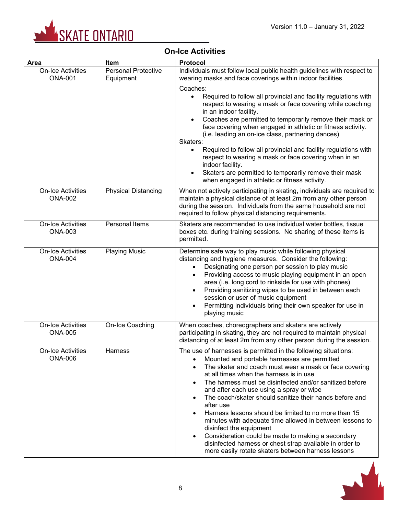

# **On-Ice Activities**

| Area                                       | Item                                    | <b>Protocol</b>                                                                                                                                                                                                                                                                                                                                                                                                                                                                                                                                                                                                                                                                                                          |  |  |
|--------------------------------------------|-----------------------------------------|--------------------------------------------------------------------------------------------------------------------------------------------------------------------------------------------------------------------------------------------------------------------------------------------------------------------------------------------------------------------------------------------------------------------------------------------------------------------------------------------------------------------------------------------------------------------------------------------------------------------------------------------------------------------------------------------------------------------------|--|--|
| <b>On-Ice Activities</b><br><b>ONA-001</b> | <b>Personal Protective</b><br>Equipment | Individuals must follow local public health guidelines with respect to<br>wearing masks and face coverings within indoor facilities.                                                                                                                                                                                                                                                                                                                                                                                                                                                                                                                                                                                     |  |  |
|                                            |                                         | Coaches:<br>Required to follow all provincial and facility regulations with<br>$\bullet$<br>respect to wearing a mask or face covering while coaching<br>in an indoor facility.<br>Coaches are permitted to temporarily remove their mask or<br>$\bullet$<br>face covering when engaged in athletic or fitness activity.<br>(i.e. leading an on-ice class, partnering dances)<br>Skaters:<br>Required to follow all provincial and facility regulations with<br>$\bullet$<br>respect to wearing a mask or face covering when in an<br>indoor facility.<br>Skaters are permitted to temporarily remove their mask<br>$\bullet$<br>when engaged in athletic or fitness activity.                                           |  |  |
| <b>On-Ice Activities</b><br><b>ONA-002</b> | <b>Physical Distancing</b>              | When not actively participating in skating, individuals are required to<br>maintain a physical distance of at least 2m from any other person<br>during the session. Individuals from the same household are not<br>required to follow physical distancing requirements.                                                                                                                                                                                                                                                                                                                                                                                                                                                  |  |  |
| <b>On-Ice Activities</b><br><b>ONA-003</b> | <b>Personal Items</b>                   | Skaters are recommended to use individual water bottles, tissue<br>boxes etc. during training sessions. No sharing of these items is<br>permitted.                                                                                                                                                                                                                                                                                                                                                                                                                                                                                                                                                                       |  |  |
| <b>On-Ice Activities</b><br><b>ONA-004</b> | <b>Playing Music</b>                    | Determine safe way to play music while following physical<br>distancing and hygiene measures. Consider the following:<br>Designating one person per session to play music<br>$\bullet$<br>Providing access to music playing equipment in an open<br>$\bullet$<br>area (i.e. long cord to rinkside for use with phones)<br>Providing sanitizing wipes to be used in between each<br>$\bullet$<br>session or user of music equipment<br>Permitting individuals bring their own speaker for use in<br>playing music                                                                                                                                                                                                         |  |  |
| <b>On-Ice Activities</b><br><b>ONA-005</b> | On-Ice Coaching                         | When coaches, choreographers and skaters are actively<br>participating in skating, they are not required to maintain physical<br>distancing of at least 2m from any other person during the session.                                                                                                                                                                                                                                                                                                                                                                                                                                                                                                                     |  |  |
| <b>On-Ice Activities</b><br><b>ONA-006</b> | Harness                                 | The use of harnesses is permitted in the following situations:<br>Mounted and portable harnesses are permitted<br>The skater and coach must wear a mask or face covering<br>at all times when the harness is in use<br>The harness must be disinfected and/or sanitized before<br>and after each use using a spray or wipe<br>The coach/skater should sanitize their hands before and<br>after use<br>Harness lessons should be limited to no more than 15<br>minutes with adequate time allowed in between lessons to<br>disinfect the equipment<br>Consideration could be made to making a secondary<br>disinfected harness or chest strap available in order to<br>more easily rotate skaters between harness lessons |  |  |

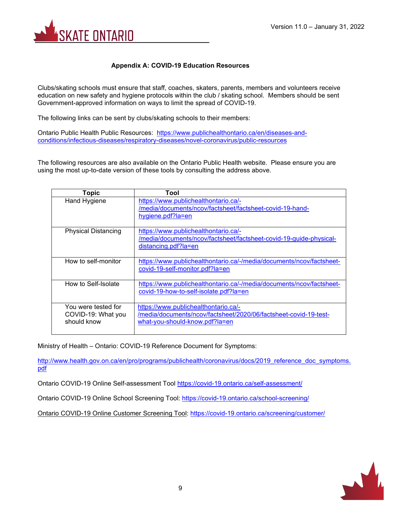

#### **Appendix A: COVID-19 Education Resources**

Clubs/skating schools must ensure that staff, coaches, skaters, parents, members and volunteers receive education on new safety and hygiene protocols within the club / skating school. Members should be sent Government-approved information on ways to limit the spread of COVID-19.

The following links can be sent by clubs/skating schools to their members:

Ontario Public Health Public Resources: [https://www.publichealthontario.ca/en/diseases-and](https://www.publichealthontario.ca/en/diseases-and-conditions/infectious-diseases/respiratory-diseases/novel-coronavirus/public-resources)[conditions/infectious-diseases/respiratory-diseases/novel-coronavirus/public-resources](https://www.publichealthontario.ca/en/diseases-and-conditions/infectious-diseases/respiratory-diseases/novel-coronavirus/public-resources)

The following resources are also available on the Ontario Public Health website. Please ensure you are using the most up-to-date version of these tools by consulting the address above.

| <b>Topic</b>                                             | Tool                                                                                                                                       |
|----------------------------------------------------------|--------------------------------------------------------------------------------------------------------------------------------------------|
| <b>Hand Hygiene</b>                                      | https://www.publichealthontario.ca/-<br>/media/documents/ncov/factsheet/factsheet-covid-19-hand-<br>hygiene.pdf?la=en                      |
| <b>Physical Distancing</b>                               | https://www.publichealthontario.ca/-<br>/media/documents/ncov/factsheet/factsheet-covid-19-quide-physical-<br>distancing.pdf?la=en         |
| How to self-monitor                                      | https://www.publichealthontario.ca/-/media/documents/ncov/factsheet-<br>covid-19-self-monitor.pdf?la=en                                    |
| How to Self-Isolate                                      | https://www.publichealthontario.ca/-/media/documents/ncov/factsheet-<br>covid-19-how-to-self-isolate.pdf?la=en                             |
| You were tested for<br>COVID-19: What you<br>should know | https://www.publichealthontario.ca/-<br>/media/documents/ncov/factsheet/2020/06/factsheet-covid-19-test-<br>what-you-should-know.pdf?la=en |

Ministry of Health – Ontario: COVID-19 Reference Document for Symptoms:

[http://www.health.gov.on.ca/en/pro/programs/publichealth/coronavirus/docs/2019\\_reference\\_doc\\_symptoms.](http://www.health.gov.on.ca/en/pro/programs/publichealth/coronavirus/docs/2019_reference_doc_symptoms.pdf) [pdf](http://www.health.gov.on.ca/en/pro/programs/publichealth/coronavirus/docs/2019_reference_doc_symptoms.pdf)

Ontario COVID-19 Online Self-assessment Tool <https://covid-19.ontario.ca/self-assessment/>

Ontario COVID-19 Online School Screening Tool: <https://covid-19.ontario.ca/school-screening/>

Ontario COVID-19 Online Customer Screening Tool:<https://covid-19.ontario.ca/screening/customer/>

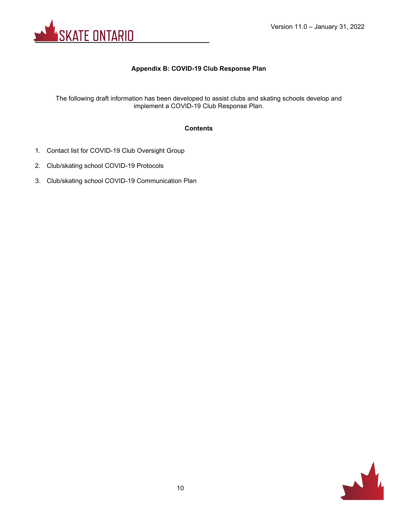

#### **Appendix B: COVID-19 Club Response Plan**

The following draft information has been developed to assist clubs and skating schools develop and implement a COVID-19 Club Response Plan.

#### **Contents**

- 1. Contact list for COVID-19 Club Oversight Group
- 2. Club/skating school COVID-19 Protocols
- 3. Club/skating school COVID-19 Communication Plan

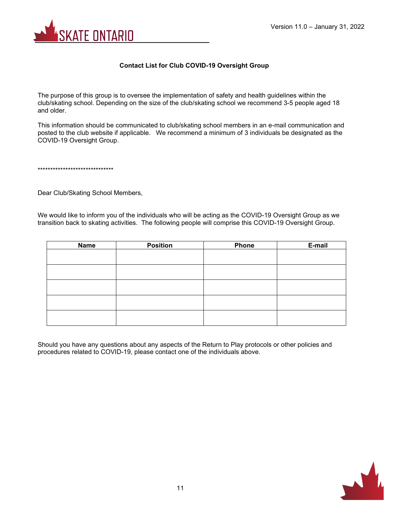

#### **Contact List for Club COVID-19 Oversight Group**

The purpose of this group is to oversee the implementation of safety and health guidelines within the club/skating school. Depending on the size of the club/skating school we recommend 3-5 people aged 18 and older.

This information should be communicated to club/skating school members in an e-mail communication and posted to the club website if applicable. We recommend a minimum of 3 individuals be designated as the COVID-19 Oversight Group.

\*\*\*\*\*\*\*\*\*\*\*\*\*\*\*\*\*\*\*\*\*\*\*\*\*\*\*\*\*\*

Dear Club/Skating School Members,

We would like to inform you of the individuals who will be acting as the COVID-19 Oversight Group as we transition back to skating activities. The following people will comprise this COVID-19 Oversight Group.

| <b>Name</b> | <b>Position</b> | <b>Phone</b> | E-mail |
|-------------|-----------------|--------------|--------|
|             |                 |              |        |
|             |                 |              |        |
|             |                 |              |        |
|             |                 |              |        |
|             |                 |              |        |
|             |                 |              |        |
|             |                 |              |        |
|             |                 |              |        |
|             |                 |              |        |
|             |                 |              |        |

Should you have any questions about any aspects of the Return to Play protocols or other policies and procedures related to COVID-19, please contact one of the individuals above.

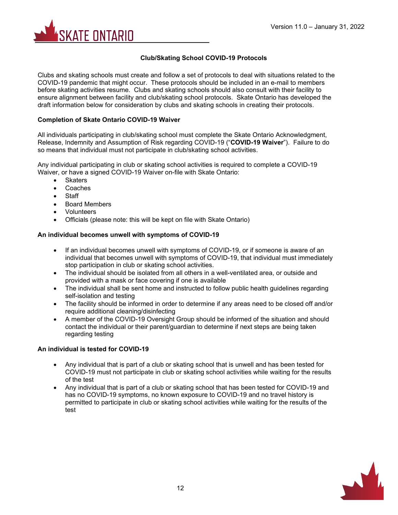

#### **Club/Skating School COVID-19 Protocols**

Clubs and skating schools must create and follow a set of protocols to deal with situations related to the COVID-19 pandemic that might occur. These protocols should be included in an e-mail to members before skating activities resume. Clubs and skating schools should also consult with their facility to ensure alignment between facility and club/skating school protocols. Skate Ontario has developed the draft information below for consideration by clubs and skating schools in creating their protocols.

#### **Completion of Skate Ontario COVID-19 Waiver**

All individuals participating in club/skating school must complete the Skate Ontario Acknowledgment, Release, Indemnity and Assumption of Risk regarding COVID-19 ("**COVID-19 Waiver**"). Failure to do so means that individual must not participate in club/skating school activities.

Any individual participating in club or skating school activities is required to complete a COVID-19 Waiver, or have a signed COVID-19 Waiver on-file with Skate Ontario:

- Skaters
- **Coaches**
- **Staff**
- Board Members
- Volunteers
- Officials (please note: this will be kept on file with Skate Ontario)

#### **An individual becomes unwell with symptoms of COVID-19**

- If an individual becomes unwell with symptoms of COVID-19, or if someone is aware of an individual that becomes unwell with symptoms of COVID-19, that individual must immediately stop participation in club or skating school activities.
- The individual should be isolated from all others in a well-ventilated area, or outside and provided with a mask or face covering if one is available
- The individual shall be sent home and instructed to follow public health guidelines regarding self-isolation and testing
- The facility should be informed in order to determine if any areas need to be closed off and/or require additional cleaning/disinfecting
- A member of the COVID-19 Oversight Group should be informed of the situation and should contact the individual or their parent/guardian to determine if next steps are being taken regarding testing

#### **An individual is tested for COVID-19**

- Any individual that is part of a club or skating school that is unwell and has been tested for COVID-19 must not participate in club or skating school activities while waiting for the results of the test
- Any individual that is part of a club or skating school that has been tested for COVID-19 and has no COVID-19 symptoms, no known exposure to COVID-19 and no travel history is permitted to participate in club or skating school activities while waiting for the results of the test

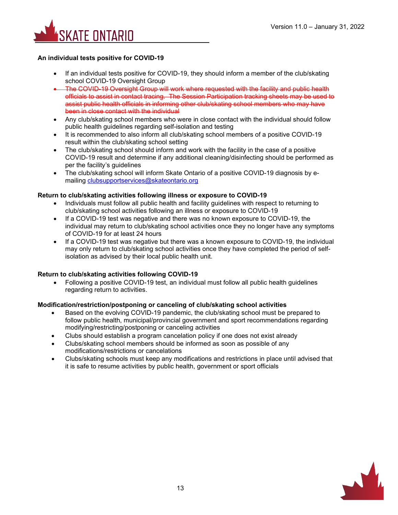

#### **An individual tests positive for COVID-19**

- If an individual tests positive for COVID-19, they should inform a member of the club/skating school COVID-19 Oversight Group
- The COVID-19 Oversight Group will work where requested with the facility and public health officials to assist in contact tracing. The Session Participation tracking sheets may be used to assist public health officials in informing other club/skating school members who may have been in close contact with the individual
- Any club/skating school members who were in close contact with the individual should follow public health guidelines regarding self-isolation and testing
- It is recommended to also inform all club/skating school members of a positive COVID-19 result within the club/skating school setting
- The club/skating school should inform and work with the facility in the case of a positive COVID-19 result and determine if any additional cleaning/disinfecting should be performed as per the facility's guidelines
- The club/skating school will inform Skate Ontario of a positive COVID-19 diagnosis by emailing [clubsupportservices@skateontario.org](mailto:clubsupportservices@skateontario.org)

#### **Return to club/skating activities following illness or exposure to COVID-19**

- Individuals must follow all public health and facility guidelines with respect to returning to club/skating school activities following an illness or exposure to COVID-19
- If a COVID-19 test was negative and there was no known exposure to COVID-19, the individual may return to club/skating school activities once they no longer have any symptoms of COVID-19 for at least 24 hours
- If a COVID-19 test was negative but there was a known exposure to COVID-19, the individual may only return to club/skating school activities once they have completed the period of selfisolation as advised by their local public health unit.

#### **Return to club/skating activities following COVID-19**

• Following a positive COVID-19 test, an individual must follow all public health guidelines regarding return to activities.

#### **Modification/restriction/postponing or canceling of club/skating school activities**

- Based on the evolving COVID-19 pandemic, the club/skating school must be prepared to follow public health, municipal/provincial government and sport recommendations regarding modifying/restricting/postponing or canceling activities
- Clubs should establish a program cancelation policy if one does not exist already
- Clubs/skating school members should be informed as soon as possible of any modifications/restrictions or cancelations
- Clubs/skating schools must keep any modifications and restrictions in place until advised that it is safe to resume activities by public health, government or sport officials